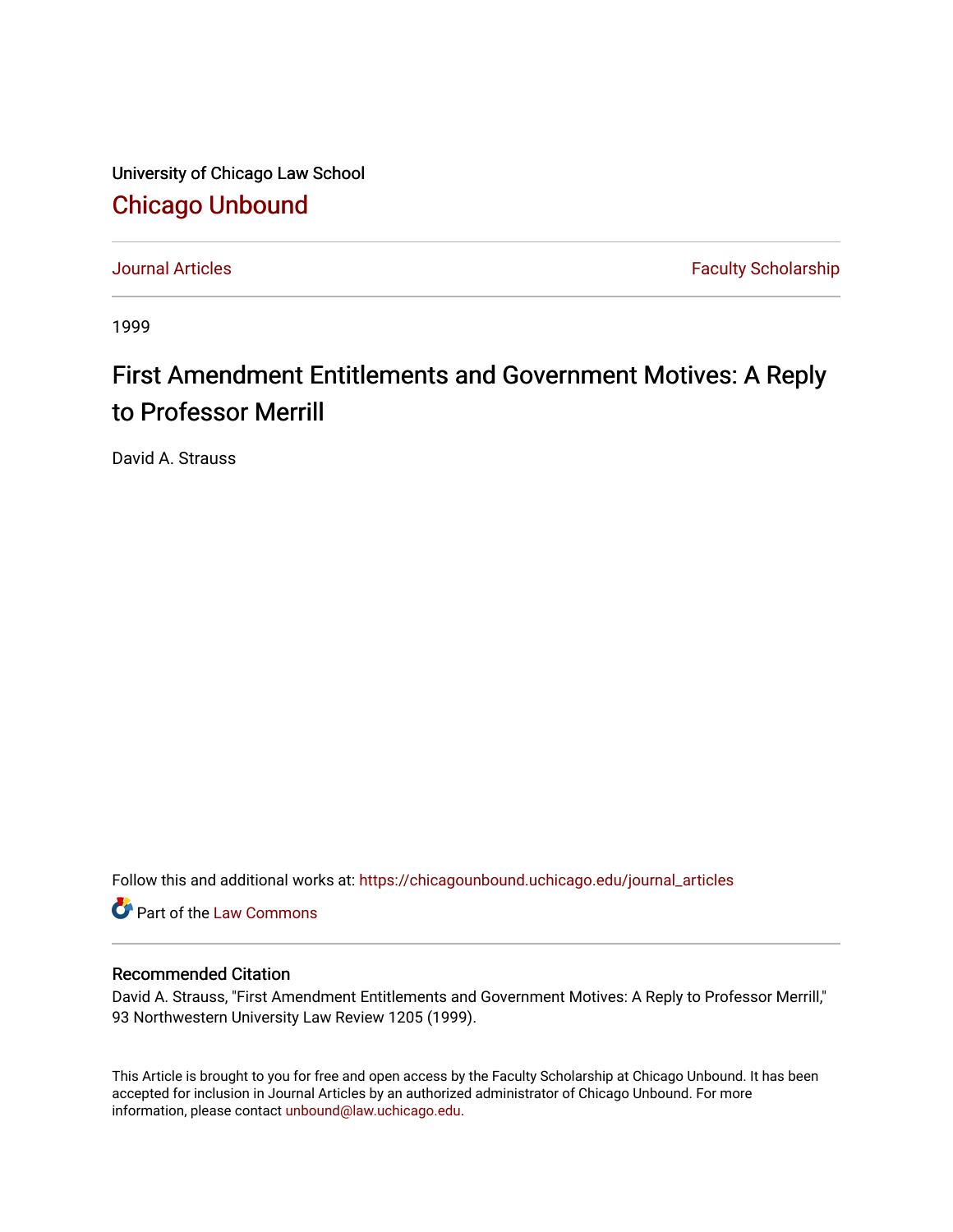University of Chicago Law School [Chicago Unbound](https://chicagounbound.uchicago.edu/)

[Journal Articles](https://chicagounbound.uchicago.edu/journal_articles) **Faculty Scholarship Faculty Scholarship** 

1999

# First Amendment Entitlements and Government Motives: A Reply to Professor Merrill

David A. Strauss

Follow this and additional works at: [https://chicagounbound.uchicago.edu/journal\\_articles](https://chicagounbound.uchicago.edu/journal_articles?utm_source=chicagounbound.uchicago.edu%2Fjournal_articles%2F1997&utm_medium=PDF&utm_campaign=PDFCoverPages) 

Part of the [Law Commons](http://network.bepress.com/hgg/discipline/578?utm_source=chicagounbound.uchicago.edu%2Fjournal_articles%2F1997&utm_medium=PDF&utm_campaign=PDFCoverPages)

## Recommended Citation

David A. Strauss, "First Amendment Entitlements and Government Motives: A Reply to Professor Merrill," 93 Northwestern University Law Review 1205 (1999).

This Article is brought to you for free and open access by the Faculty Scholarship at Chicago Unbound. It has been accepted for inclusion in Journal Articles by an authorized administrator of Chicago Unbound. For more information, please contact [unbound@law.uchicago.edu](mailto:unbound@law.uchicago.edu).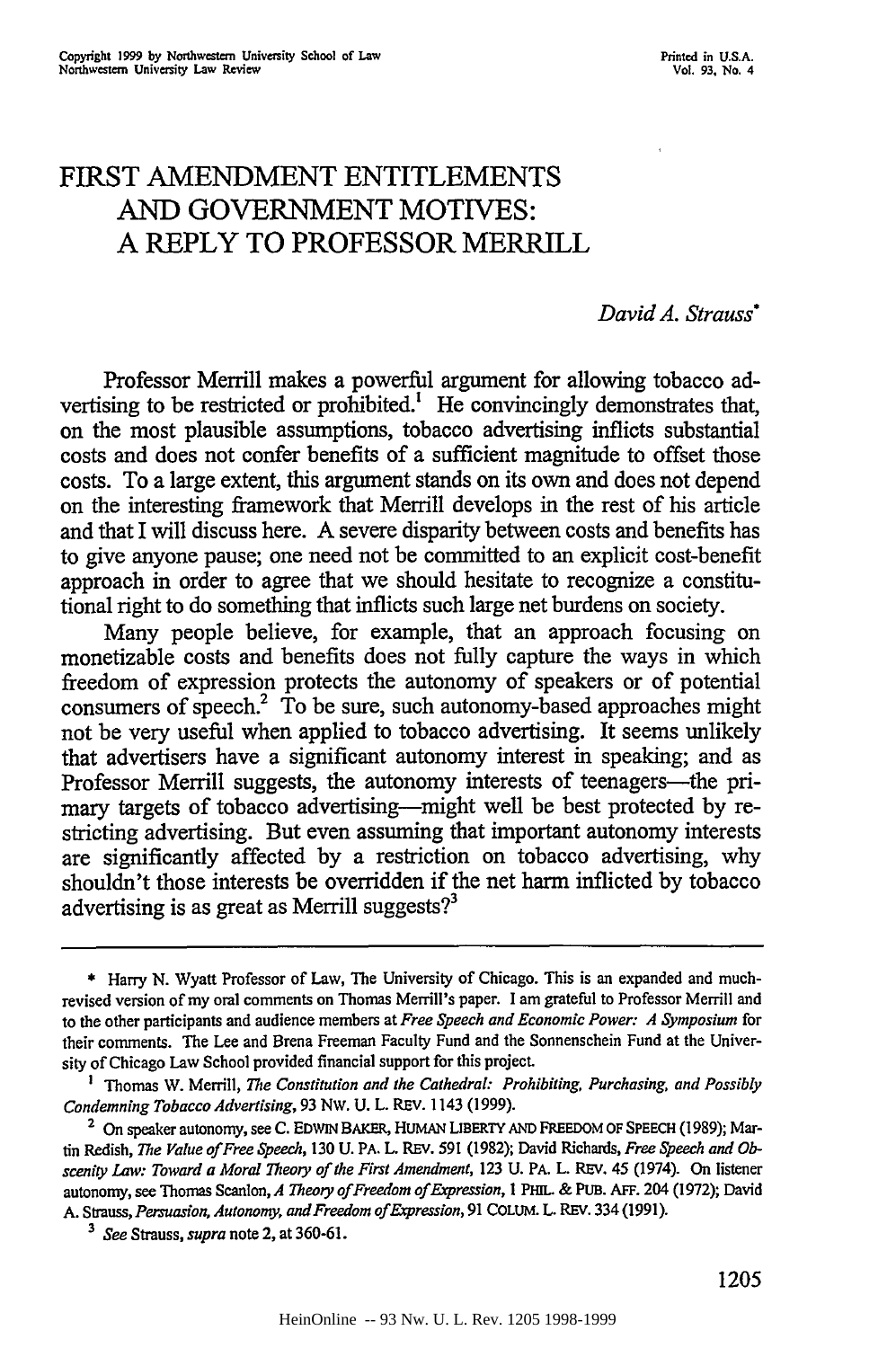# FIRST **AMENDMENT ENTITLEMENTS AND GOVERNMENT** MOTIVES: **A** REPLY TO PROFESSOR MERRILL

#### *David A. Strauss\**

Professor Merrill makes a powerful argument for allowing tobacco advertising to be restricted or prohibited.! He convincingly demonstrates that, on the most plausible assumptions, tobacco advertising inflicts substantial costs and does not confer benefits of a sufficient magnitude to offset those costs. To a large extent, this argument stands on its own and does not depend on the interesting framework that Merrill develops in the rest of his article and that I will discuss here. A severe disparity between costs and benefits has to give anyone pause; one need not be committed to an explicit cost-benefit approach in order to agree that we should hesitate to recognize a constitutional right to do something that inflicts such large net burdens on society.

Many people believe, for example, that an approach focusing on monetizable costs and benefits does not fully capture the ways in which freedom of expression protects the autonomy of speakers or of potential consumers of speech.2 To be sure, such autonomy-based approaches might not be very useful when applied to tobacco advertising. It seems unlikely that advertisers have a significant autonomy interest in speaking; and as Professor Merrill suggests, the autonomy interests of teenagers—the primary targets of tobacco advertising-might well be best protected by restricting advertising. But even assuming that important autonomy interests are significantly affected by a restriction on tobacco advertising, why shouldn't those interests be overridden if the net harm inflicted by tobacco advertising is as great as Merrill suggests? $3$ 

<sup>\*</sup> Harry N. Wyatt Professor of Law, The University of Chicago. This is an expanded and muchrevised version of my oral comments on Thomas Merrill's paper. I am grateful to Professor Merrill and to the other participants and audience members at *Free Speech and Economic Power: A Symposium* for their comments. The Lee and Brena Freeman Faculty Fund and the Sonnenschein Fund at the University of Chicago Law School provided financial support for this project.

**I** Thomas W. Merrill, *The Constitution and the Cathedral: Prohibiting, Purchasing, and Possibly Condemning Tobacco Advertising,* 93 Nw. U. L. REV. 1143 (1999).

**<sup>2</sup>** On speaker autonomy, see C. **EDWIN** BAKER, **HUMAN LIBERTY AND** FREEDOM **OF SPEECH (1989);** Martin Redish, *The Value of Free Speech,* 130 U. PA. L. REV. 591 (1982); David Richards, *Free Speech and Obscenity Law: Toward a Moral Theory of the First Amendment,* 123 U. PA. L. REV. 45 (1974). On listener autonomy, see Thomas Scanlon, *A Theory ofFreedom of Expression, I* **PHIL. &** PUB. **AFF.** 204 **(1972);** David **A.** Strauss, *Persuasion, Autonomy, and Freedom of Expression,* **91** COLUM. L. REV. 334 (1991).

*<sup>3</sup> See* Strauss, *supra* note 2, at **360-61.**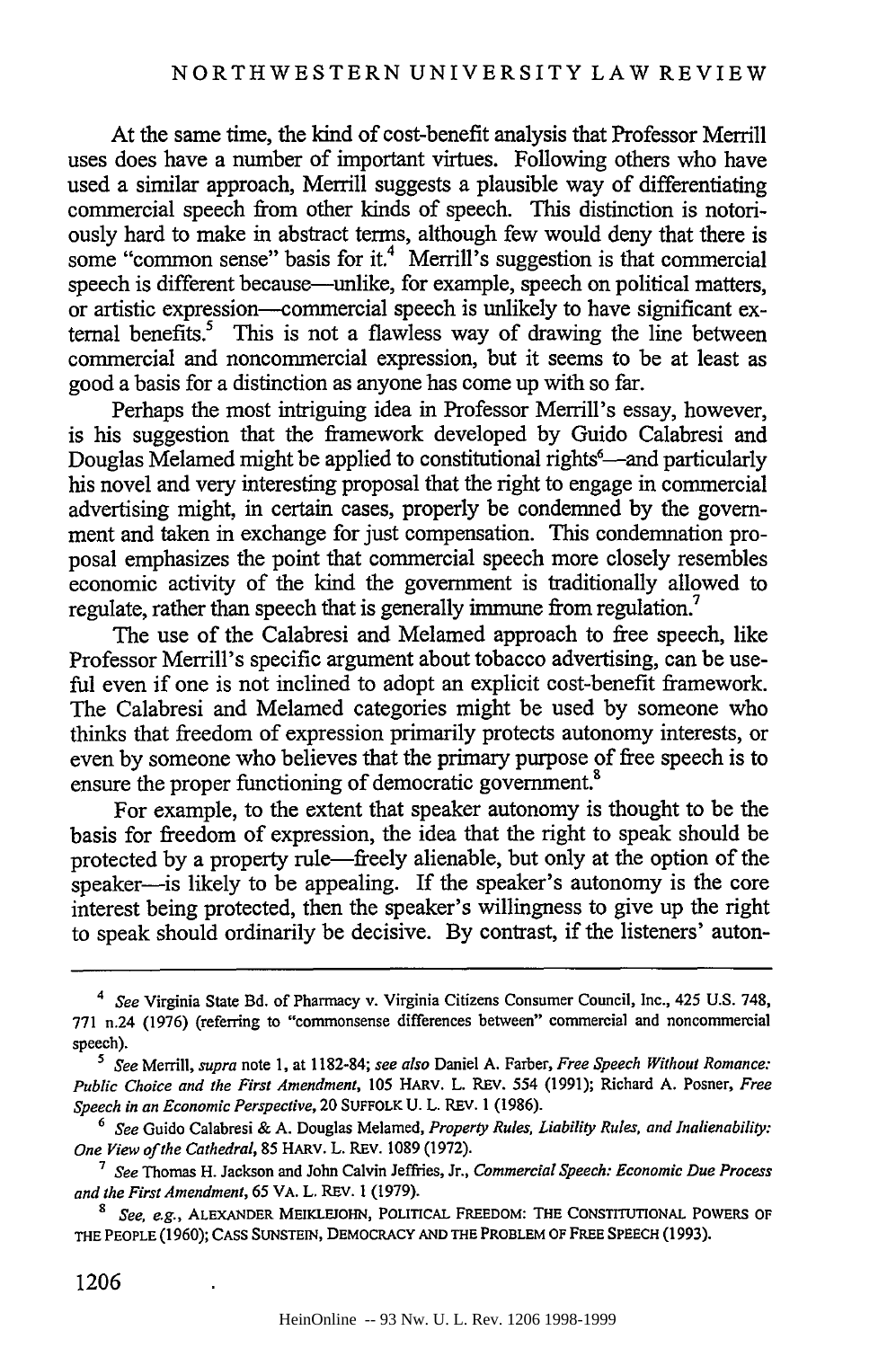At the same time, the kind of cost-benefit analysis that Professor Merrill uses does have a number of important virtues. Following others who have used a similar approach, Merrill suggests a plausible way of differentiating commercial speech from other kinds of speech. This distinction is notoriously hard to make in abstract terms, although few would deny that there is some "common sense" basis for it.<sup>4</sup> Merrill's suggestion is that commercial speech is different because—unlike, for example, speech on political matters, or artistic expression-commercial speech is unlikely to have significant external benefits.<sup>5</sup> This is not a flawless way of drawing the line between commercial and noncommercial expression, but it seems to be at least as good a basis for a distinction as anyone has come up with so far.

Perhaps the most intriguing idea in Professor Merrill's essay, however, is his suggestion that the framework developed by Guido Calabresi and Douglas Melamed might be applied to constitutional rights<sup>6</sup>—and particularly his novel and very interesting proposal that the right to engage in commercial advertising might, in certain cases, properly be condemned by the government and taken in exchange for just compensation. This condemnation proposal emphasizes the point that commercial speech more closely resembles economic activity of the kind the government is traditionally allowed to regulate, rather than speech that is generally immune from regulation.<sup>7</sup>

The use of the Calabresi and Melamed approach to free speech, like Professor Merrill's specific argument about tobacco advertising, can be useful even if one is not inclined to adopt an explicit cost-benefit framework. The Calabresi and Melamed categories might be used by someone who thinks that freedom of expression primarily protects autonomy interests, or even by someone who believes that the primary purpose of free speech is to ensure the proper functioning of democratic government.<sup>8</sup>

For example, to the extent that speaker autonomy is thought to be the basis for freedom of expression, the idea that the right to speak should be protected by a property rule-freely alienable, but only at the option of the speaker—is likely to be appealing. If the speaker's autonomy is the core interest being protected, then the speaker's willingness to give up the right to speak should ordinarily be decisive. By contrast, if the listeners' auton-

*<sup>4</sup> See* Virginia State Bd. of Pharmacy v. Virginia Citizens Consumer Council, Inc., *425* U.S. 748, 771 n.24 (1976) (referring to "commonsense differences between" commercial and noncommercial speech).

*<sup>5</sup> See* Merrill, *supra* note 1, at 1182-84; *see also* Daniel A. Farber, *Free Speech Without Romance: Public Choice and the First Amendment,* 105 HARV. L. REV. 554 (1991); Richard A. Posner, *Free Speech in an Economic Perspective,* 20 SUFFOLK U. L. REV. 1 (1986).

**<sup>6</sup>** *See* Guido Calabresi & A. Douglas Melamed, *Property Rules, Liability Rules, and Inalienability: One View of the Cathedral,* 85 HARV. L. REV. 1089 (1972).

*<sup>7</sup> See* Thomas H. Jackson and John Calvin Jeffries, Jr., *Commercial Speech: Economic Due Process and the First Amendment,* **65** VA. L. REV. 1 (1979).

**<sup>8</sup>***See, eg.,* ALEXANDER MEIKLEJOHN, POLITICAL FREEDOM: THE CONSTITUTIONAL POWERS OF **THE** PEOPLE (1960); CASS SUNSTEIN, DEMOCRACY **AND THE** PROBLEM OF FREE SPEECH (1993).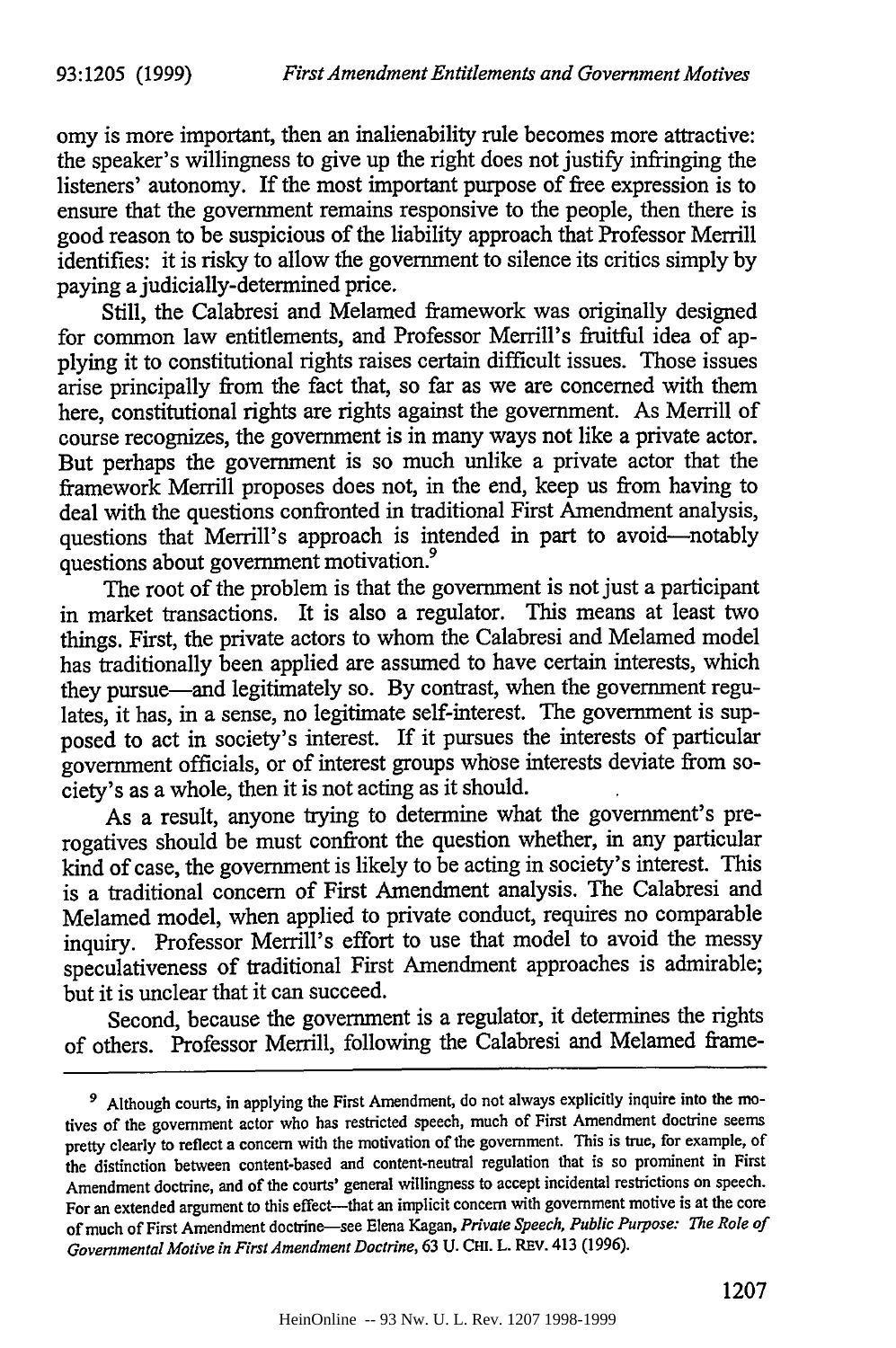omy is more important, then an inalienability rule becomes more attractive: the speaker's willingness to give up the right does not justify infringing the listeners' autonomy. If the most important purpose of free expression is to ensure that the government remains responsive to the people, then there is good reason to be suspicious of the liability approach that Professor Merrill identifies: it is risky to allow the government to silence its critics simply by paying a judicially-determined price.

Still, the Calabresi and Melamed framework was originally designed for common law entitlements, and Professor Merrill's fruitful idea of applying it to constitutional rights raises certain difficult issues. Those issues arise principally from the fact that, so far as we are concerned with them here, constitutional rights are rights against the government. As Merrill of course recognizes, the government is in many ways not like a private actor. But perhaps the government is so much unlike a private actor that the framework Merrill proposes does not, in the end, keep us from having to deal with the questions confronted in traditional First Amendment analysis, questions that Merrill's approach is intended in part to avoid-notably questions about government motivation.9

The root of the problem is that the government is not just a participant in market transactions. It is also a regulator. This means at least two things. First, the private actors to whom the Calabresi and Melamed model has traditionally been applied are assumed to have certain interests, which they pursue-and legitimately so. By contrast, when the government regulates, it has, in a sense, no legitimate self-interest. The government is supposed to act in society's interest. If it pursues the interests of particular government officials, or of interest groups whose interests deviate from society's as a whole, then it is not acting as it should.

As a result, anyone trying to determine what the government's prerogatives should be must confront the question whether, in any particular kind of case, the government is likely to be acting in society's interest. This is a traditional concern of First Amendment analysis. The Calabresi and Melamed model, when applied to private conduct, requires no comparable inquiry. Professor Merrill's effort to use that model to avoid the messy speculativeness of traditional First Amendment approaches is admirable; but it is unclear that it can succeed.

Second, because the government is a regulator, it determines the rights of others. Professor Merrill, following the Calabresi and Melamed *frame-*

*<sup>9</sup>* Although courts, in applying the First Amendment, do not always explicitly inquire into the motives of the government actor who has restricted speech, much of First Amendment doctrine seems pretty clearly to reflect a concern with the motivation of the government. This is true, for example, of the distinction between content-based and content-neutral regulation that is so prominent in First Amendment doctrine, and of the courts' general willingness to accept incidental restrictions on speech. For an extended argument to this effect---that an implicit concern with government motive is at the core of much of First Amendment doctrine-see Elena Kagan, *Private Speech, Public Purpose: The Role of Governmental Motive in First Amendment Doctrine,* 63 **U.** CHI. L. REv. 413 (1996).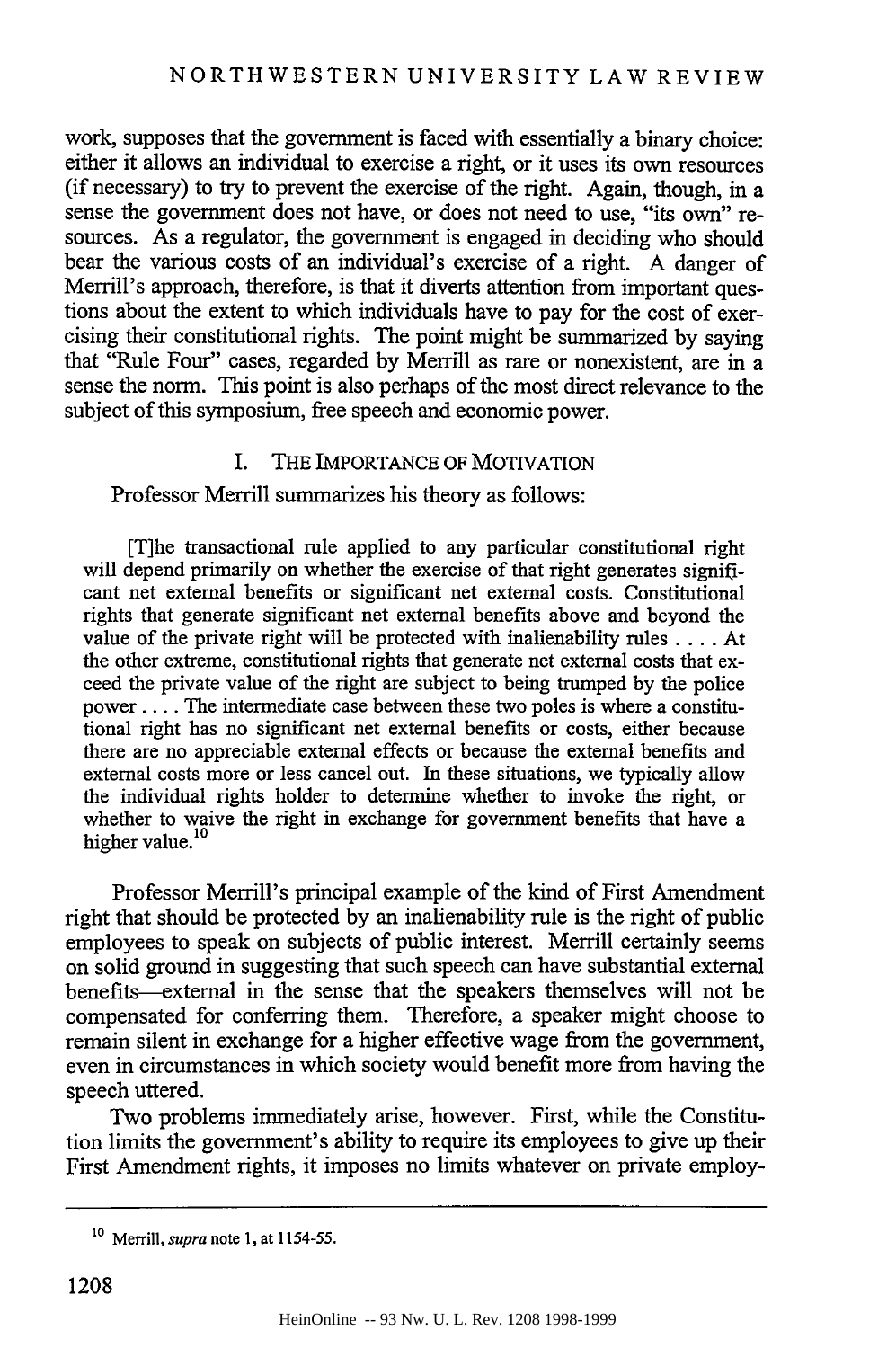work, supposes that the government is faced with essentially a binary choice: either it allows an individual to exercise a right, or it uses its own resources (if necessary) to try to prevent the exercise of the right. Again, though, in a sense the government does not have, or does not need to use, "its own" resources. As a regulator, the government is engaged in deciding who should bear the various costs of an individual's exercise of a right. A danger of Merrill's approach, therefore, is that it diverts attention from important questions about the extent to which individuals have to pay for the cost of exercising their constitutional rights. The point might be summarized by saying that "Rule Four" cases, regarded by Merrill as rare or nonexistent, are in a sense the norm. This point is also perhaps of the most direct relevance to the subject of this symposium, free speech and economic power.

#### I. THE IMPORTANCE OF MOTIVATION

Professor Merrill summarizes his theory as follows:

[T]he transactional rule applied to any particular constitutional right will depend primarily on whether the exercise of that right generates significant net external benefits or significant net external costs. Constitutional rights that generate significant net external benefits above and beyond the value of the private right will be protected with inalienability rules .... At the other extreme, constitutional rights that generate net external costs that exceed the private value of the right are subject to being trumped by the police power .... The intermediate case between these two poles is where a constitutional right has no significant net external benefits or costs, either because there are no appreciable external effects or because the external benefits and external costs more or less cancel out. In these situations, we typically allow the individual rights holder to determine whether to invoke the right, or whether to waive the right in exchange for government benefits that have a higher value.<sup>10</sup>

Professor Merrill's principal example of the kind of First Amendment right that should be protected by an inalienability rule is the right of public employees to speak on subjects of public interest. Merrill certainly seems on solid ground in suggesting that such speech can have substantial external benefits-external in the sense that the speakers themselves will not be compensated for conferring them. Therefore, a speaker might choose to remain silent in exchange for a higher effective wage from the government, even in circumstances in which society would benefit more from having the speech uttered.

Two problems immediately arise, however. First, while the Constitution limits the government's ability to require its employees to give up their First Amendment rights, it imposes no limits whatever on private employ-

**<sup>10</sup>** Merrill, *supra* note **1,** at **1154-55.**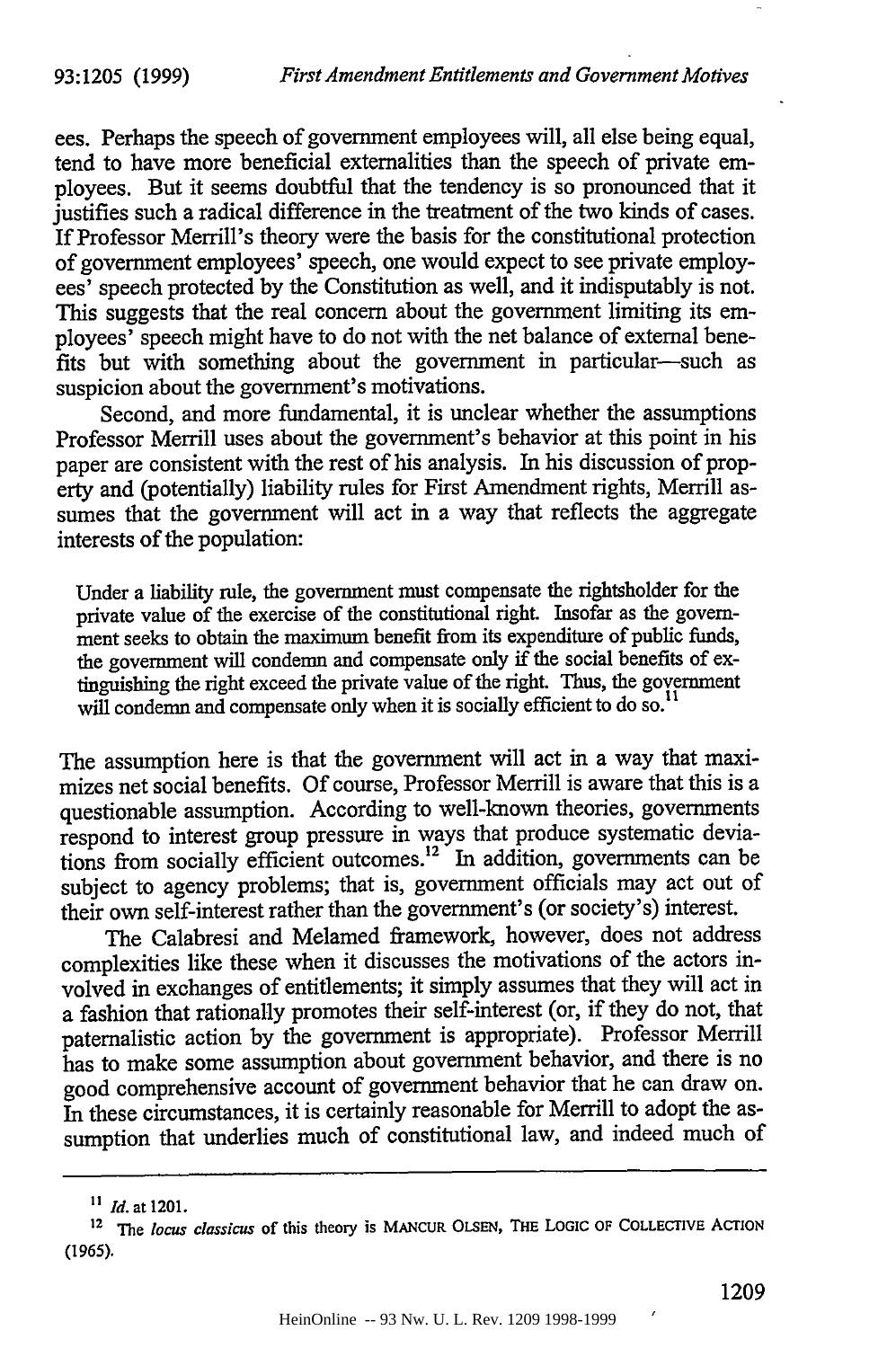ees. Perhaps the speech of government employees will, all else being equal, tend to have more beneficial externalities than the speech of private employees. But it seems doubtful that the tendency is so pronounced that it justifies such a radical difference in the treatment of the two kinds of cases. If Professor Merrill's theory were the basis for the constitutional protection of government employees' speech, one would expect to see private employees' speech protected by the Constitution as well, and it indisputably is not. This suggests that the real concern about the government limiting its employees' speech might have to do not with the net balance of external benefits but with something about the government in particular-such as suspicion about the government's motivations.

Second, and more fundamental, it is unclear whether the assumptions Professor Merrill uses about the government's behavior at this point in his paper are consistent with the rest of his analysis. In his discussion of property and (potentially) liability rules for First Amendment rights, Merrill assumes that the government will act in a way that reflects the aggregate interests of the population:

Under a liability rule, the government must compensate the rightsholder for the private value of the exercise of the constitutional right. Insofar as the govemment seeks to obtain the maximum benefit from its expenditure of public funds, the government will condemn and compensate only if the social benefits of extinguishing the right exceed the private value of the right. Thus, the government will condemn and compensate only when it is socially efficient to do so.<sup>11</sup>

The assumption here is that the government will act in a way that maximizes net social benefits. Of course, Professor Merrill is aware that this is a questionable assumption. According to well-known theories, governments respond to interest group pressure in ways that produce systematic deviations from socially efficient outcomes.<sup>12</sup> In addition, governments can be subject to agency problems; that is, government officials may act out of their own self-interest rather than the government's (or society's) interest.

The Calabresi and Melamed framework, however, does not address complexities like these when it discusses the motivations of the actors involved in exchanges of entitlements; it simply assumes that they will act in a fashion that rationally promotes their self-interest (or, if they do not, that paternalistic action by the government is appropriate). Professor Merrill has to make some assumption about government behavior, and there is no good comprehensive account of government behavior that he can draw on. In these circumstances, it is certainly reasonable for Merrill to adopt the assumption that underlies much of constitutional law, and indeed much of

*n Id.* at 1201.

<sup>12</sup>**The** *locus classicus* **of** this theory is **MANCUR OLSEN, THE** LOGIC **OF COLLECTIVE** ACTION **(1965).**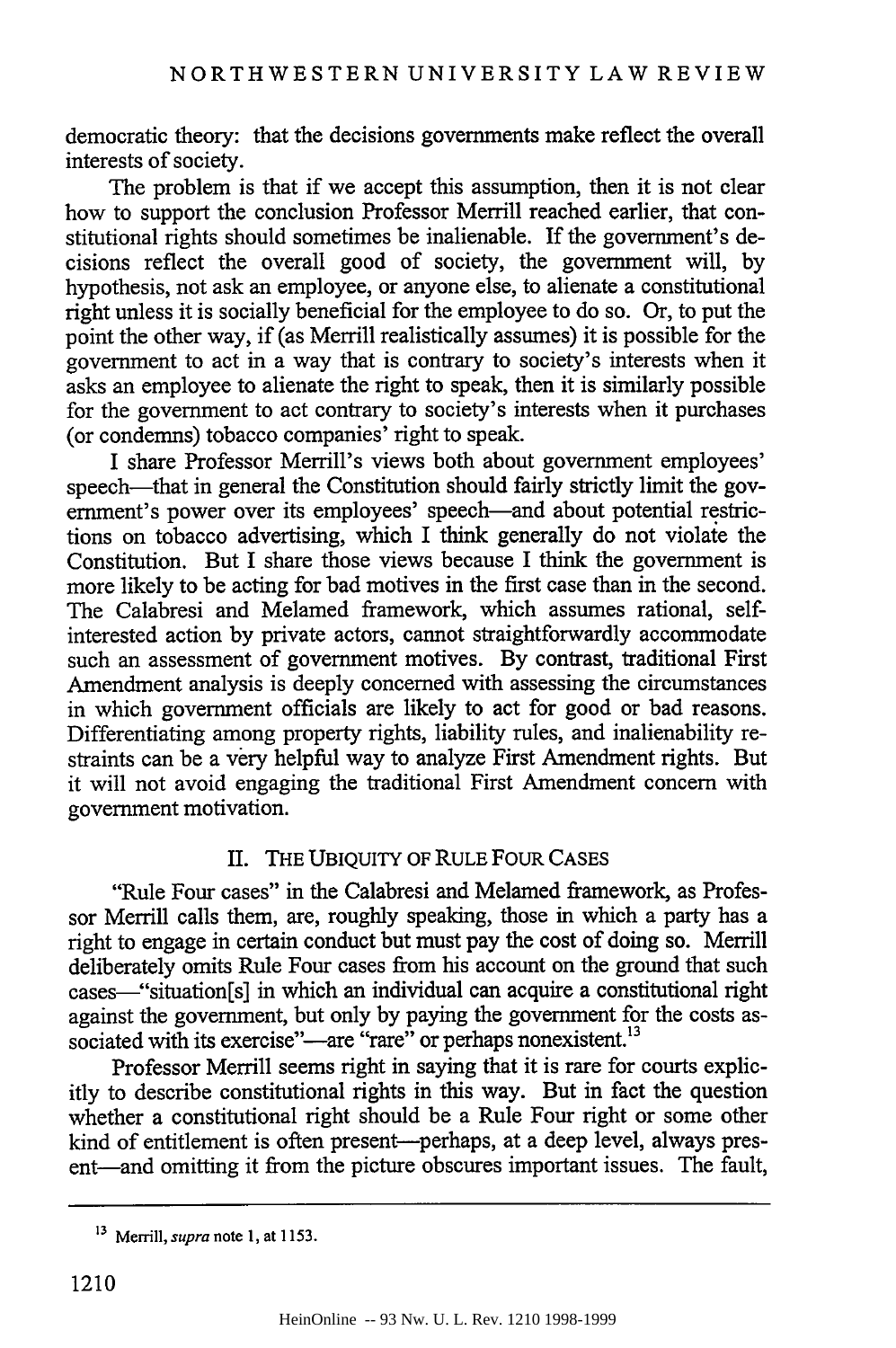democratic theory: that the decisions governments make reflect the overall interests of society.

The problem is that if we accept this assumption, then it is not clear how to support the conclusion Professor Merrill reached earlier, that constitutional rights should sometimes be inalienable. If the government's decisions reflect the overall good of society, the government will, by hypothesis, not ask an employee, or anyone else, to alienate a constitutional right unless it is socially beneficial for the employee to do so. Or, to put the point the other way, if (as Merrill realistically assumes) it is possible for the government to act in a way that is contrary to society's interests when it asks an employee to alienate the right to speak, then it is similarly possible for the government to act contrary to society's interests when it purchases (or condemns) tobacco companies' right to speak.

I share Professor Merrill's views both about government employees' speech—that in general the Constitution should fairly strictly limit the government's power over its employees' speech—and about potential restrictions on tobacco advertising, which I think generally do not violate the Constitution. But I share those views because I think the government is more likely to be acting for bad motives in the first case than in the second. The Calabresi and Melamed framework, which assumes rational, selfinterested action by private actors, cannot straightforwardly accommodate such an assessment of government motives. By contrast, traditional First Amendment analysis is deeply concerned with assessing the circumstances in which government officials are likely to act for good or bad reasons. Differentiating among property rights, liability rules, and inalienability restraints can be a very helpful way to analyze First Amendment rights. But it will not avoid engaging the traditional First Amendment concern with government motivation.

## II. THE UBIQUITY OF RULE FOUR CASES

"Rule Four cases" in the Calabresi and Melamed framework, as Professor Merrill calls them, are, roughly speaking, those in which a party has a right to engage in certain conduct but must pay the cost of doing so. Merrill deliberately omits Rule Four cases from his account on the ground that such cases--"situation[s] in which an individual can acquire a constitutional right against the government, but only by paying the government for the costs associated with its exercise"—are "rare" or perhaps nonexistent.<sup>13</sup>

Professor Merrill seems right in saying that it is rare for courts explicitly to describe constitutional rights in this way. But in fact the question whether a constitutional right should be a Rule Four right or some other kind of entitlement is often present-perhaps, at a deep level, always present—and omitting it from the picture obscures important issues. The fault,

**<sup>13</sup>**Merrill, *supra* note **1,** at **1153.**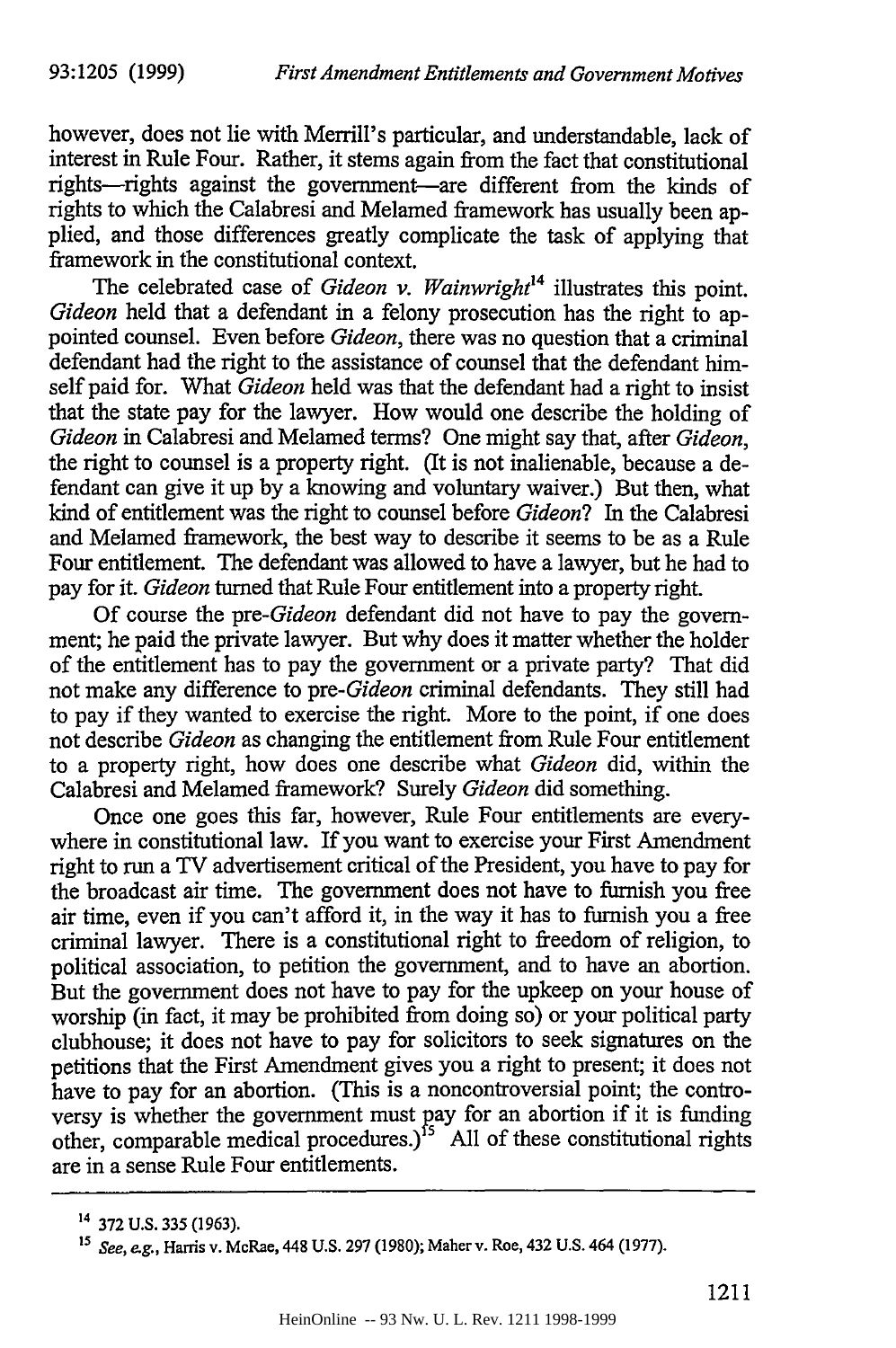however, does not lie with Merrill's particular, and understandable, lack of interest in Rule Four. Rather, it stems again from the fact that constitutional rights-rights against the government-are different from the kinds of rights to which the Calabresi and Melamed framework has usually been applied, and those differences greatly complicate the task of applying that framework in the constitutional context.

The celebrated case of *Gideon v. Wainwright14* illustrates this point. Gideon held that a defendant in a felony prosecution has the right to appointed counsel. Even before *Gideon,* there was no question that a criminal defendant had the right to the assistance of counsel that the defendant himself paid for. What *Gideon* held was that the defendant had a right to insist that the state pay for the lawyer. How would one describe the holding of *Gideon* in Calabresi and Melamed terms? One might say that, after *Gideon,* the right to counsel is a property right. (It is not inalienable, because a defendant can give it up by a knowing and voluntary waiver.) But then, what kind of entitlement was the right to counsel before *Gideon?* In the Calabresi and Melamed framework, the best way to describe it seems to be as a Rule Four entitlement. The defendant was allowed to have a lawyer, but he had to pay for it. *Gideon* turned that Rule Four entitlement into a property right.

Of course the *pre-Gideon* defendant did not have to pay the government; he paid the private lawyer. But why does it matter whether the holder of the entitlement has to pay the government or a private party? That did not make any difference to *pre-Gideon* criminal defendants. They still had to pay if they wanted to exercise the right. More to the point, if one does not describe *Gideon* as changing the entitlement from Rule Four entitlement to a property right, how does one describe what *Gideon* did, within the Calabresi and Melamed framework? Surely *Gideon* did something.

Once one goes this far, however, Rule Four entitlements are everywhere in constitutional law. If you want to exercise your First Amendment right to run a TV advertisement critical of the President, you have to pay for the broadcast air time. The government does not have to furnish you free air time, even if you can't afford it, in the way it has to furnish you a free criminal lawyer. There is a constitutional right to freedom of religion, to political association, to petition the government, and to have an abortion. But the government does not have to pay for the upkeep on your house of worship (in fact, it may be prohibited from doing so) or your political party clubhouse; it does not have to pay for solicitors to seek signatures on the petitions that the First Amendment gives you a right to present; it does not have to pay for an abortion. (This is a noncontroversial point; the controversy is whether the government must pay for an abortion if it is funding other, comparable medical procedures.)<sup>15</sup> All of these constitutional rights are in a sense Rule Four entitlements.

<sup>14</sup> **372 U.S. 335** (1963).

*<sup>15</sup>*See, *eg.,* Harris v. McRae, 448 **U.S.** 297 (1980); Maher v. Roe, 432 U.S. 464 (1977).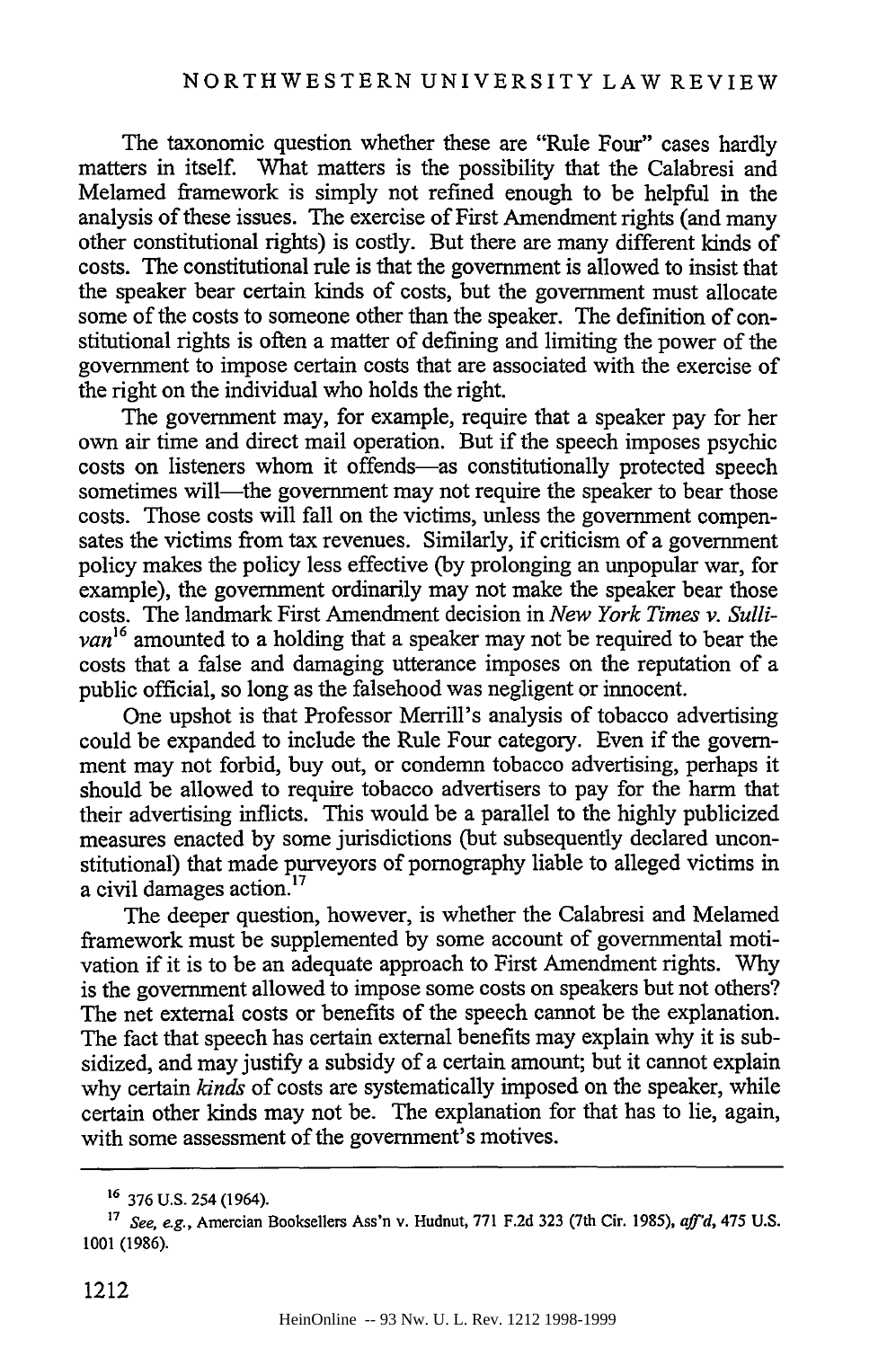The taxonomic question whether these are "Rule Four" cases hardly matters in itself. What matters is the possibility that the Calabresi and Melamed framework is simply not refined enough to be helpful in the analysis of these issues. The exercise of First Amendment rights (and many other constitutional rights) is costly. But there are many different kinds of costs. The constitutional rule is that the government is allowed to insist that the speaker bear certain kinds of costs, but the government must allocate some of the costs to someone other than the speaker. The definition of constitutional rights is often a matter of defining and limiting the power of the government to impose certain costs that are associated with the exercise of the right on the individual who holds the right.

The government may, for example, require that a speaker pay for her own air time and direct mail operation. But if the speech imposes psychic costs on listeners whom it offends-as constitutionally protected speech sometimes will—the government may not require the speaker to bear those costs. Those costs will fall on the victims, unless the government compensates the victims from tax revenues. Similarly, if criticism of a government policy makes the policy less effective (by prolonging an unpopular war, for example), the government ordinarily may not make the speaker bear those costs. The landmark First Amendment decision in *New York Times v. Sullivan16* amounted to a holding that a speaker may not be required to bear the costs that a false and damaging utterance imposes on the reputation of a public official, so long as the falsehood was negligent or innocent.

One upshot is that Professor Merrill's analysis of tobacco advertising could be expanded to include the Rule Four category. Even if the government may not forbid, buy out, or condemn tobacco advertising, perhaps it should be allowed to require tobacco advertisers to pay for the harm that their advertising inflicts. This would be a parallel to the highly publicized measures enacted by some jurisdictions (but subsequently declared unconstitutional) that made purveyors of pornography liable to alleged victims in a civil damages action.<sup>17</sup>

The deeper question, however, is whether the Calabresi and Melamed framework must be supplemented by some account of governmental motivation if it is to be an adequate approach to First Amendment rights. Why is the government allowed to impose some costs on speakers but not others? The net external costs or benefits of the speech cannot be the explanation. The fact that speech has certain external benefits may explain why it is subsidized, and may justify a subsidy of a certain amount; but it cannot explain why certain *kinds* of costs are systematically imposed on the speaker, while certain other kinds may not be. The explanation for that has to lie, again, with some assessment of the government's motives.

**<sup>16</sup> 376** U.S. 254 (1964).

**<sup>17</sup>** *See, e.g.,* Amercian Booksellers Ass'n v. Hudnut, **771 F.2d 323** (7th Cir. **1985),** *aff'd,* 475 U.S. **1001 (1986).**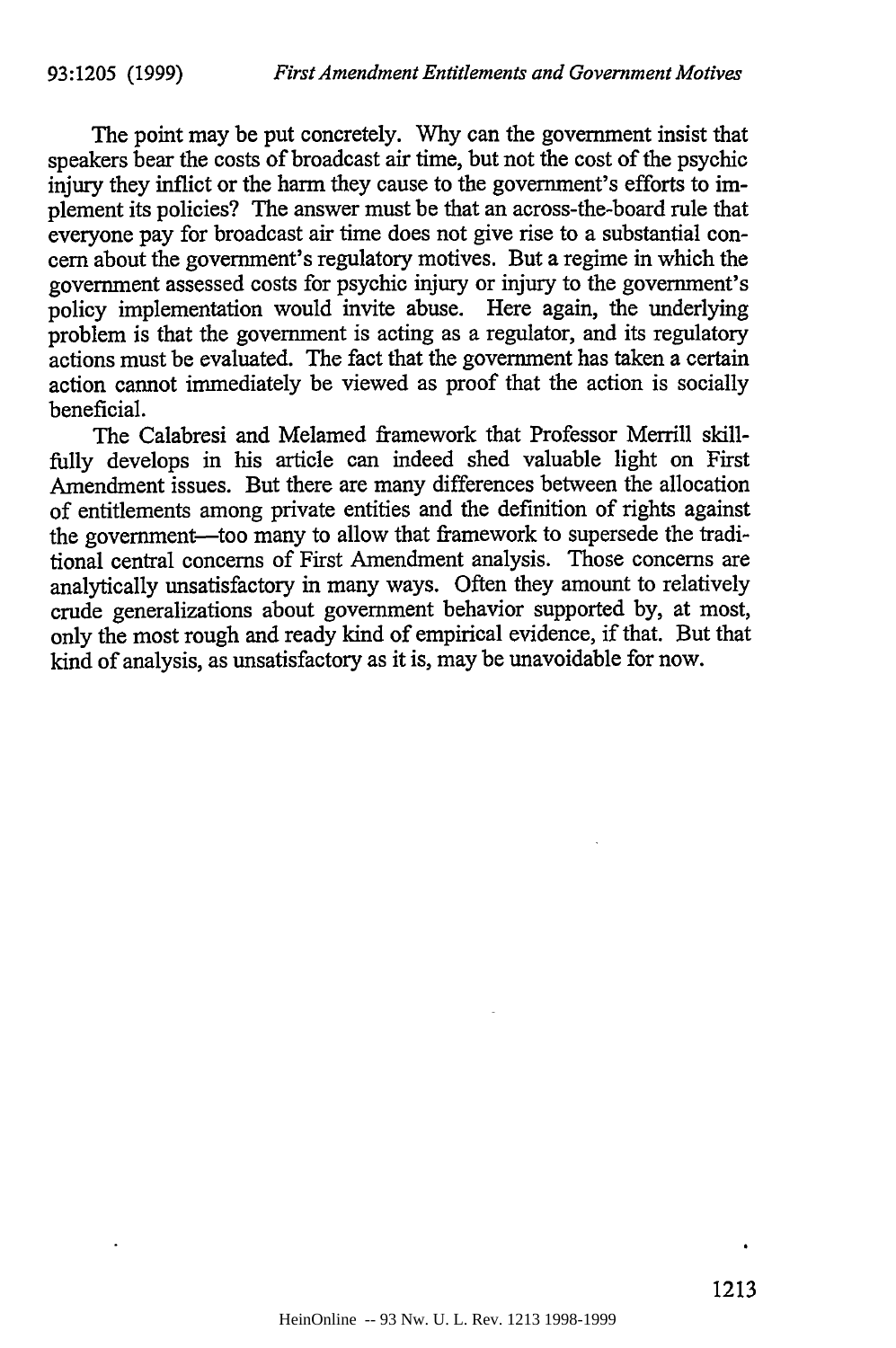The point may be put concretely. Why can the government insist that speakers bear the costs of broadcast air time, but not the cost of the psychic injury they inflict or the harm they cause to the government's efforts to implement its policies? The answer must be that an across-the-board rule that everyone pay for broadcast air time does not give rise to a substantial concern about the government's regulatory motives. But a regime in which the government assessed costs for psychic injury or injury to the government's policy implementation would invite abuse. Here again, the underlying problem is that the government is acting as a regulator, and its regulatory actions must be evaluated. The fact that the government has taken a certain action cannot immediately be viewed as proof that the action is socially beneficial.

The Calabresi and Melamed framework that Professor Merrill skillfully develops in his article can indeed shed valuable light on First Amendment issues. But there are many differences between the allocation of entitlements among private entities and the definition of rights against the government-too many to allow that framework to supersede the traditional central concerns of First Amendment analysis. Those concerns are analytically unsatisfactory in many ways. Often they amount to relatively crude generalizations about government behavior supported by, at most, only the most rough and ready kind of empirical evidence, if that. But that kind of analysis, as unsatisfactory as it is, may be unavoidable for now.